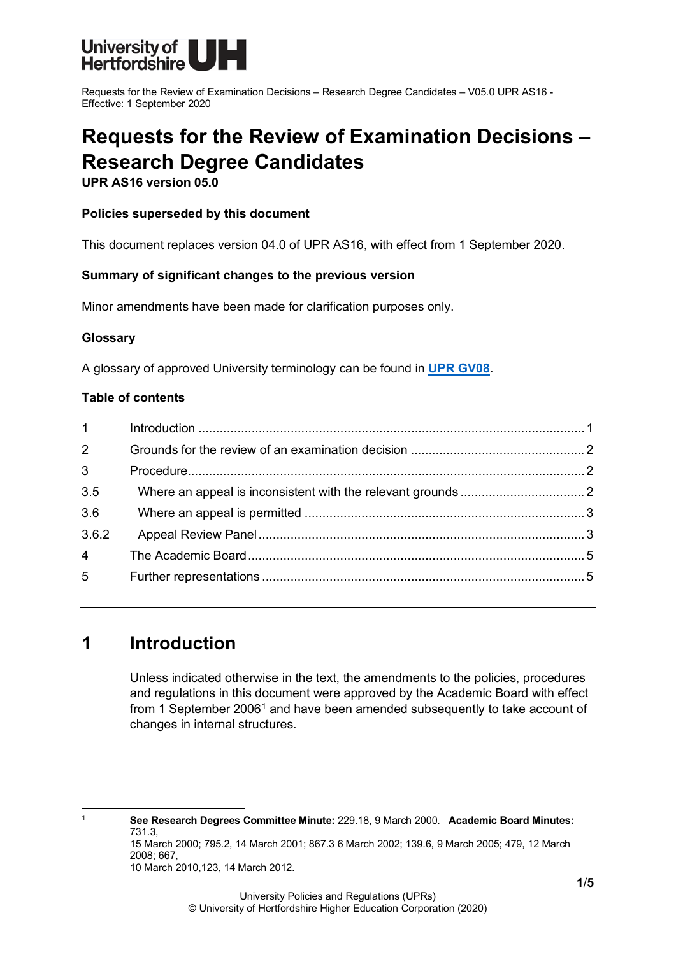

# **Requests for the Review of Examination Decisions – Research Degree Candidates**

**UPR AS16 version 05.0**

### **Policies superseded by this document**

This document replaces version 04.0 of UPR AS16, with effect from 1 September 2020.

### **Summary of significant changes to the previous version**

Minor amendments have been made for clarification purposes only.

### **Glossary**

A glossary of approved University terminology can be found in **[UPR GV08](https://www.herts.ac.uk/__data/assets/pdf_file/0020/233057/GV08-Glossary-of-Terminology.pdf)**.

### **Table of contents**

| $1 \quad \blacksquare$ |  |
|------------------------|--|
| $2^{\circ}$            |  |
| 3 <sup>1</sup>         |  |
| 3.5                    |  |
| 3.6                    |  |
| 3.6.2                  |  |
| $\overline{4}$         |  |
| $5^{\circ}$            |  |
|                        |  |

# <span id="page-0-0"></span>**1 Introduction**

Unless indicated otherwise in the text, the amendments to the policies, procedures and regulations in this document were approved by the Academic Board with effect from [1](#page-0-1) September 2006<sup>1</sup> and have been amended subsequently to take account of changes in internal structures.

<span id="page-0-1"></span><sup>1</sup> **See Research Degrees Committee Minute:** 229.18, 9 March 2000. **Academic Board Minutes:**  731.3, 15 March 2000; 795.2, 14 March 2001; 867.3 6 March 2002; 139.6, 9 March 2005; 479, 12 March 2008; 667,

10 March 2010,123, 14 March 2012.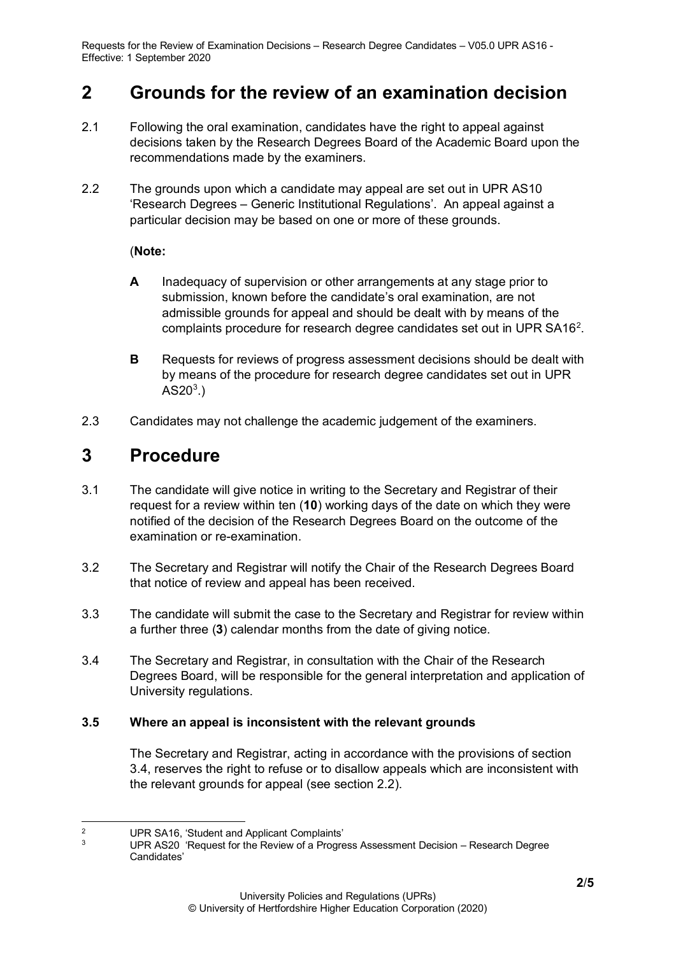## <span id="page-1-0"></span>**2 Grounds for the review of an examination decision**

- 2.1 Following the oral examination, candidates have the right to appeal against decisions taken by the Research Degrees Board of the Academic Board upon the recommendations made by the examiners.
- 2.2 The grounds upon which a candidate may appeal are set out in UPR AS10 'Research Degrees – Generic Institutional Regulations'. An appeal against a particular decision may be based on one or more of these grounds.

### (**Note:**

- **A** Inadequacy of supervision or other arrangements at any stage prior to submission, known before the candidate's oral examination, are not admissible grounds for appeal and should be dealt with by means of the complaints procedure for research degree candidates set out in UPR SA16<sup>[2](#page-1-3)</sup>.
- **B** Requests for reviews of progress assessment decisions should be dealt with by means of the procedure for research degree candidates set out in UPR AS20 $^{\rm 3.})$  $^{\rm 3.})$  $^{\rm 3.})$
- 2.3 Candidates may not challenge the academic judgement of the examiners.

### <span id="page-1-1"></span>**3 Procedure**

- 3.1 The candidate will give notice in writing to the Secretary and Registrar of their request for a review within ten (**10**) working days of the date on which they were notified of the decision of the Research Degrees Board on the outcome of the examination or re-examination.
- 3.2 The Secretary and Registrar will notify the Chair of the Research Degrees Board that notice of review and appeal has been received.
- 3.3 The candidate will submit the case to the Secretary and Registrar for review within a further three (**3**) calendar months from the date of giving notice.
- 3.4 The Secretary and Registrar, in consultation with the Chair of the Research Degrees Board, will be responsible for the general interpretation and application of University regulations.

### <span id="page-1-2"></span>**3.5 Where an appeal is inconsistent with the relevant grounds**

The Secretary and Registrar, acting in accordance with the provisions of section 3.4, reserves the right to refuse or to disallow appeals which are inconsistent with the relevant grounds for appeal (see section 2.2).

<span id="page-1-4"></span><span id="page-1-3"></span><sup>&</sup>lt;sup>2</sup> UPR SA16, 'Student and Applicant Complaints'

UPR AS20 'Request for the Review of a Progress Assessment Decision – Research Degree Candidates'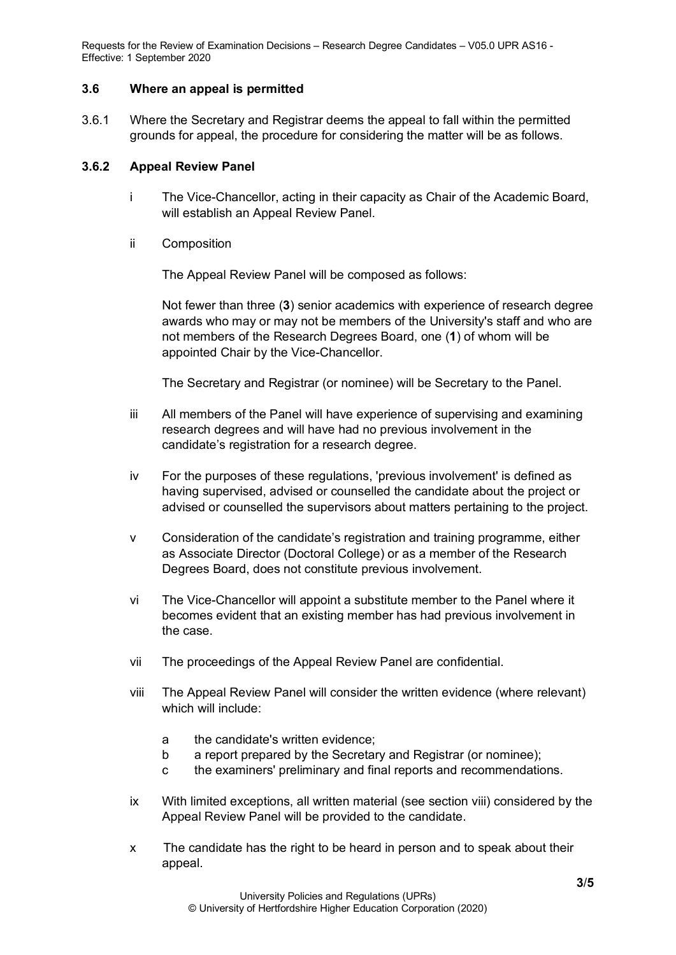### <span id="page-2-0"></span>**3.6 Where an appeal is permitted**

3.6.1 Where the Secretary and Registrar deems the appeal to fall within the permitted grounds for appeal, the procedure for considering the matter will be as follows.

### <span id="page-2-1"></span>**3.6.2 Appeal Review Panel**

- i The Vice-Chancellor, acting in their capacity as Chair of the Academic Board, will establish an Appeal Review Panel.
- ii Composition

The Appeal Review Panel will be composed as follows:

Not fewer than three (**3**) senior academics with experience of research degree awards who may or may not be members of the University's staff and who are not members of the Research Degrees Board, one (**1**) of whom will be appointed Chair by the Vice-Chancellor.

The Secretary and Registrar (or nominee) will be Secretary to the Panel.

- iii All members of the Panel will have experience of supervising and examining research degrees and will have had no previous involvement in the candidate's registration for a research degree.
- iv For the purposes of these regulations, 'previous involvement' is defined as having supervised, advised or counselled the candidate about the project or advised or counselled the supervisors about matters pertaining to the project.
- v Consideration of the candidate's registration and training programme, either as Associate Director (Doctoral College) or as a member of the Research Degrees Board, does not constitute previous involvement.
- vi The Vice-Chancellor will appoint a substitute member to the Panel where it becomes evident that an existing member has had previous involvement in the case.
- vii The proceedings of the Appeal Review Panel are confidential.
- viii The Appeal Review Panel will consider the written evidence (where relevant) which will include:
	- a the candidate's written evidence;
	- b a report prepared by the Secretary and Registrar (or nominee);
	- c the examiners' preliminary and final reports and recommendations.
- ix With limited exceptions, all written material (see section viii) considered by the Appeal Review Panel will be provided to the candidate.
- x The candidate has the right to be heard in person and to speak about their appeal.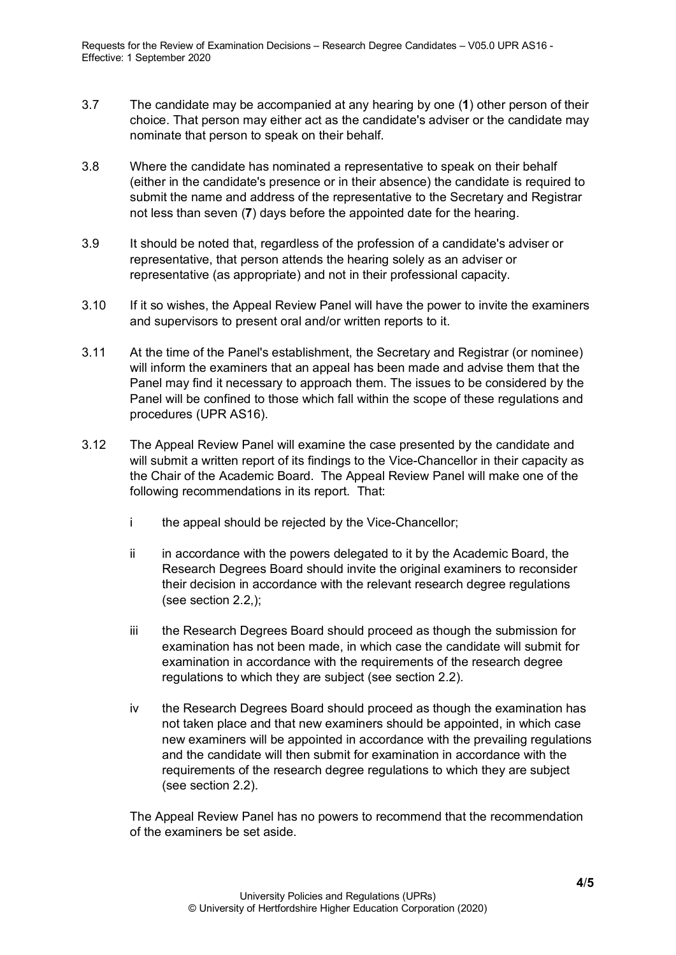- 3.7 The candidate may be accompanied at any hearing by one (**1**) other person of their choice. That person may either act as the candidate's adviser or the candidate may nominate that person to speak on their behalf.
- 3.8 Where the candidate has nominated a representative to speak on their behalf (either in the candidate's presence or in their absence) the candidate is required to submit the name and address of the representative to the Secretary and Registrar not less than seven (**7**) days before the appointed date for the hearing.
- 3.9 It should be noted that, regardless of the profession of a candidate's adviser or representative, that person attends the hearing solely as an adviser or representative (as appropriate) and not in their professional capacity.
- 3.10 If it so wishes, the Appeal Review Panel will have the power to invite the examiners and supervisors to present oral and/or written reports to it.
- 3.11 At the time of the Panel's establishment, the Secretary and Registrar (or nominee) will inform the examiners that an appeal has been made and advise them that the Panel may find it necessary to approach them. The issues to be considered by the Panel will be confined to those which fall within the scope of these regulations and procedures (UPR AS16).
- 3.12 The Appeal Review Panel will examine the case presented by the candidate and will submit a written report of its findings to the Vice-Chancellor in their capacity as the Chair of the Academic Board. The Appeal Review Panel will make one of the following recommendations in its report. That:
	- i the appeal should be rejected by the Vice-Chancellor;
	- ii in accordance with the powers delegated to it by the Academic Board, the Research Degrees Board should invite the original examiners to reconsider their decision in accordance with the relevant research degree regulations (see section 2.2,);
	- iii the Research Degrees Board should proceed as though the submission for examination has not been made, in which case the candidate will submit for examination in accordance with the requirements of the research degree regulations to which they are subject (see section 2.2).
	- iv the Research Degrees Board should proceed as though the examination has not taken place and that new examiners should be appointed, in which case new examiners will be appointed in accordance with the prevailing regulations and the candidate will then submit for examination in accordance with the requirements of the research degree regulations to which they are subject (see section 2.2).

The Appeal Review Panel has no powers to recommend that the recommendation of the examiners be set aside.